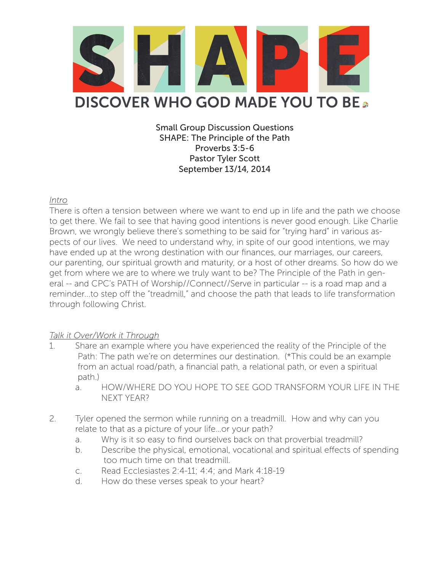

Small Group Discussion Questions SHAPE: The Principle of the Path Proverbs 3:5-6 Pastor Tyler Scott September 13/14, 2014

## *Intro*

There is often a tension between where we want to end up in life and the path we choose to get there. We fail to see that having good intentions is never good enough. Like Charlie Brown, we wrongly believe there's something to be said for "trying hard" in various aspects of our lives. We need to understand why, in spite of our good intentions, we may have ended up at the wrong destination with our finances, our marriages, our careers, our parenting, our spiritual growth and maturity, or a host of other dreams. So how do we get from where we are to where we truly want to be? The Principle of the Path in general -- and CPC's PATH of Worship//Connect//Serve in particular -- is a road map and a reminder...to step off the "treadmill," and choose the path that leads to life transformation through following Christ.

## *Talk it Over/Work it Through*

- 1. Share an example where you have experienced the reality of the Principle of the Path: The path we're on determines our destination. (\*This could be an example from an actual road/path, a financial path, a relational path, or even a spiritual path.)
	- a. HOW/WHERE DO YOU HOPE TO SEE GOD TRANSFORM YOUR LIFE IN THE NEXT YEAR?
- 2. Tyler opened the sermon while running on a treadmill. How and why can you relate to that as a picture of your life…or your path?
	- a. Why is it so easy to find ourselves back on that proverbial treadmill?
	- b. Describe the physical, emotional, vocational and spiritual effects of spending too much time on that treadmill.
	- c. Read Ecclesiastes 2:4-11; 4:4; and Mark 4:18-19
	- d. How do these verses speak to your heart?